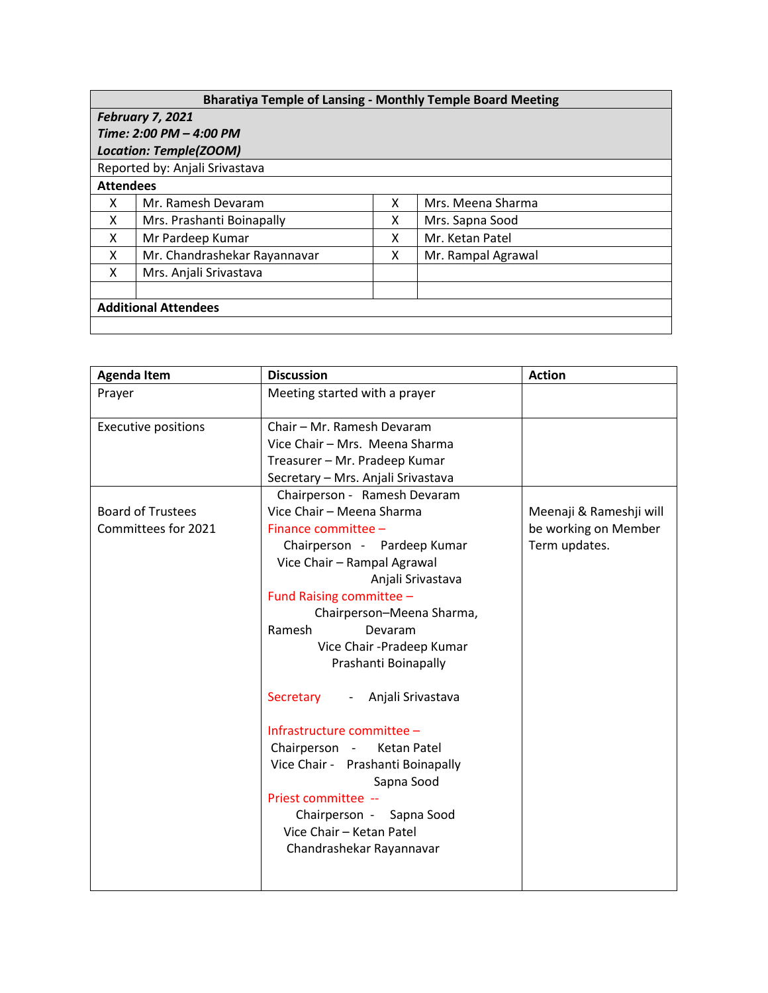| <b>Bharatiya Temple of Lansing - Monthly Temple Board Meeting</b> |                              |   |                    |  |  |  |
|-------------------------------------------------------------------|------------------------------|---|--------------------|--|--|--|
| <b>February 7, 2021</b>                                           |                              |   |                    |  |  |  |
| Time: 2:00 PM - 4:00 PM                                           |                              |   |                    |  |  |  |
| <b>Location: Temple(ZOOM)</b>                                     |                              |   |                    |  |  |  |
| Reported by: Anjali Srivastava                                    |                              |   |                    |  |  |  |
| <b>Attendees</b>                                                  |                              |   |                    |  |  |  |
| x                                                                 | Mr. Ramesh Devaram           | x | Mrs. Meena Sharma  |  |  |  |
| X                                                                 | Mrs. Prashanti Boinapally    | x | Mrs. Sapna Sood    |  |  |  |
| x                                                                 | Mr Pardeep Kumar             | x | Mr. Ketan Patel    |  |  |  |
| x                                                                 | Mr. Chandrashekar Rayannavar | x | Mr. Rampal Agrawal |  |  |  |
| X                                                                 | Mrs. Anjali Srivastava       |   |                    |  |  |  |
|                                                                   |                              |   |                    |  |  |  |
| <b>Additional Attendees</b>                                       |                              |   |                    |  |  |  |
|                                                                   |                              |   |                    |  |  |  |

| <b>Agenda Item</b>                              | <b>Discussion</b>                                                                                                                                                                                                                                                                                                                                                                                                                                                                                                                                                          | <b>Action</b>                                                    |
|-------------------------------------------------|----------------------------------------------------------------------------------------------------------------------------------------------------------------------------------------------------------------------------------------------------------------------------------------------------------------------------------------------------------------------------------------------------------------------------------------------------------------------------------------------------------------------------------------------------------------------------|------------------------------------------------------------------|
| Prayer                                          | Meeting started with a prayer                                                                                                                                                                                                                                                                                                                                                                                                                                                                                                                                              |                                                                  |
| <b>Executive positions</b>                      | Chair - Mr. Ramesh Devaram<br>Vice Chair - Mrs. Meena Sharma<br>Treasurer - Mr. Pradeep Kumar<br>Secretary - Mrs. Anjali Srivastava                                                                                                                                                                                                                                                                                                                                                                                                                                        |                                                                  |
| <b>Board of Trustees</b><br>Committees for 2021 | Chairperson - Ramesh Devaram<br>Vice Chair - Meena Sharma<br>Finance committee -<br>Chairperson - Pardeep Kumar<br>Vice Chair - Rampal Agrawal<br>Anjali Srivastava<br>Fund Raising committee -<br>Chairperson-Meena Sharma,<br>Ramesh<br>Devaram<br>Vice Chair - Pradeep Kumar<br>Prashanti Boinapally<br>Secretary<br>- Anjali Srivastava<br>Infrastructure committee -<br>Chairperson -<br>Ketan Patel<br>Vice Chair - Prashanti Boinapally<br>Sapna Sood<br>Priest committee --<br>Chairperson -<br>Sapna Sood<br>Vice Chair - Ketan Patel<br>Chandrashekar Rayannavar | Meenaji & Rameshji will<br>be working on Member<br>Term updates. |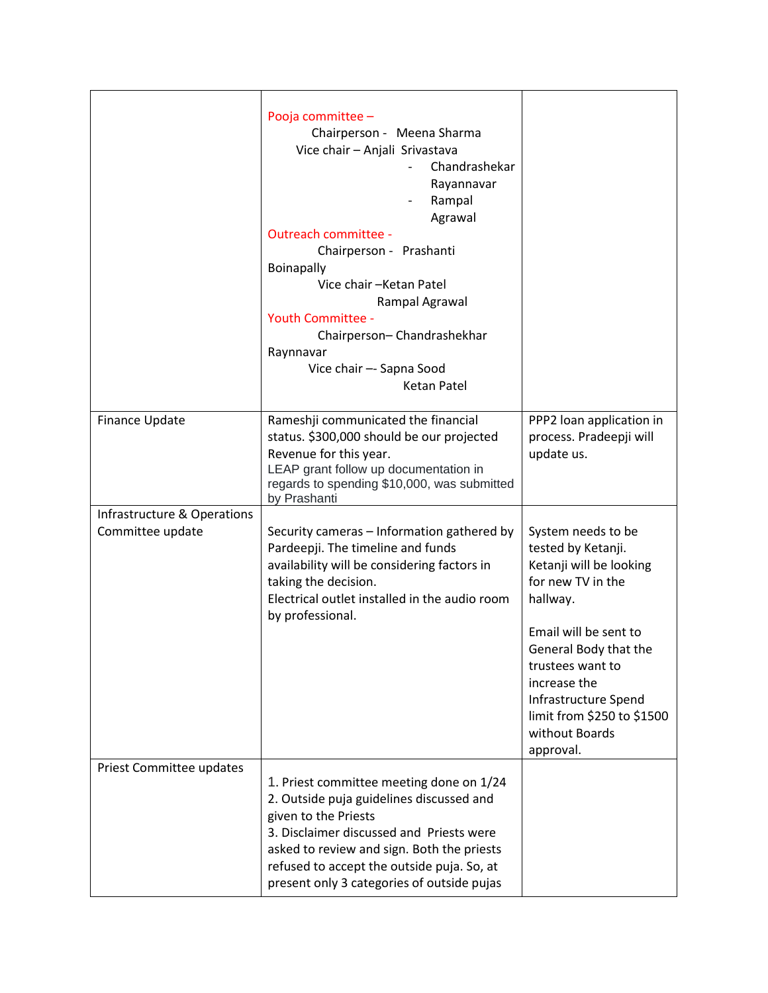|                                                 | Pooja committee -<br>Chairperson - Meena Sharma<br>Vice chair - Anjali Srivastava<br>Chandrashekar<br>Rayannavar<br>Rampal<br>Agrawal<br><b>Outreach committee -</b><br>Chairperson - Prashanti<br><b>Boinapally</b><br>Vice chair - Ketan Patel<br>Rampal Agrawal<br><b>Youth Committee -</b><br>Chairperson-Chandrashekhar<br>Raynnavar<br>Vice chair -- Sapna Sood<br>Ketan Patel |                                                                                                                                                                                                                                                                                 |
|-------------------------------------------------|--------------------------------------------------------------------------------------------------------------------------------------------------------------------------------------------------------------------------------------------------------------------------------------------------------------------------------------------------------------------------------------|---------------------------------------------------------------------------------------------------------------------------------------------------------------------------------------------------------------------------------------------------------------------------------|
| Finance Update                                  | Rameshji communicated the financial<br>status. \$300,000 should be our projected<br>Revenue for this year.<br>LEAP grant follow up documentation in<br>regards to spending \$10,000, was submitted<br>by Prashanti                                                                                                                                                                   | PPP2 loan application in<br>process. Pradeepji will<br>update us.                                                                                                                                                                                                               |
| Infrastructure & Operations<br>Committee update | Security cameras - Information gathered by<br>Pardeepji. The timeline and funds<br>availability will be considering factors in<br>taking the decision.<br>Electrical outlet installed in the audio room<br>by professional.                                                                                                                                                          | System needs to be<br>tested by Ketanji.<br>Ketanji will be looking<br>for new TV in the<br>hallway.<br>Email will be sent to<br>General Body that the<br>trustees want to<br>increase the<br>Infrastructure Spend<br>limit from \$250 to \$1500<br>without Boards<br>approval. |
| Priest Committee updates                        | 1. Priest committee meeting done on 1/24<br>2. Outside puja guidelines discussed and<br>given to the Priests<br>3. Disclaimer discussed and Priests were<br>asked to review and sign. Both the priests<br>refused to accept the outside puja. So, at<br>present only 3 categories of outside pujas                                                                                   |                                                                                                                                                                                                                                                                                 |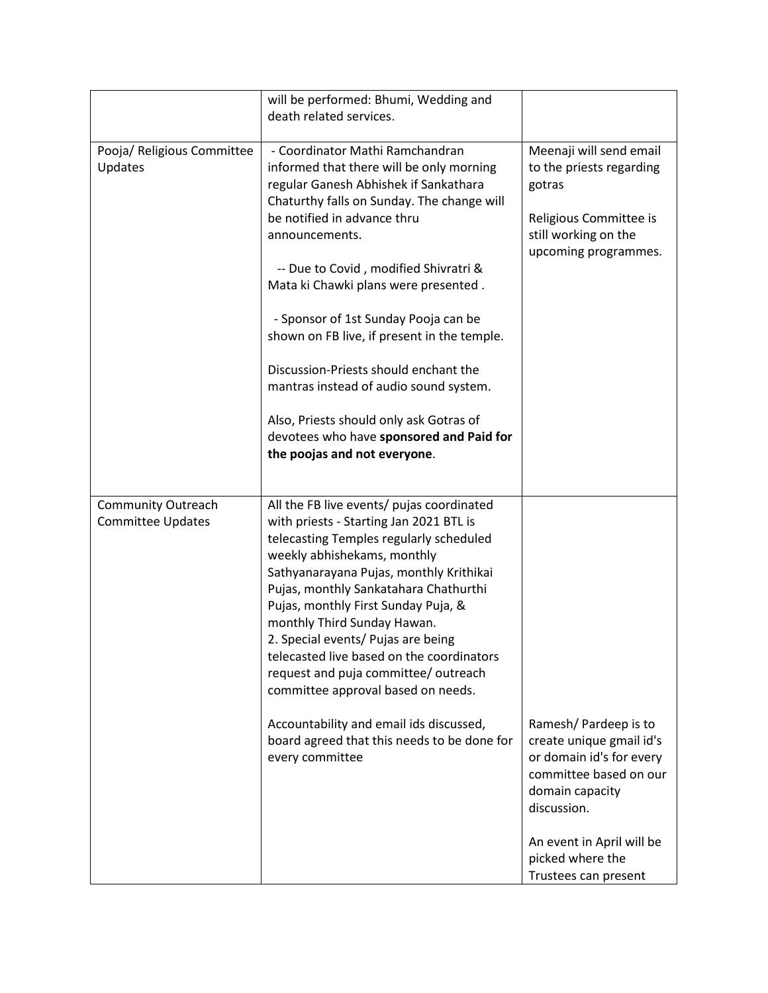|                                                       | will be performed: Bhumi, Wedding and                                                                                                                                                                                                                                                                                                                                                                                                                                                                                                                                                                  |                                                                                                                                                                                                                   |
|-------------------------------------------------------|--------------------------------------------------------------------------------------------------------------------------------------------------------------------------------------------------------------------------------------------------------------------------------------------------------------------------------------------------------------------------------------------------------------------------------------------------------------------------------------------------------------------------------------------------------------------------------------------------------|-------------------------------------------------------------------------------------------------------------------------------------------------------------------------------------------------------------------|
|                                                       | death related services.                                                                                                                                                                                                                                                                                                                                                                                                                                                                                                                                                                                |                                                                                                                                                                                                                   |
| Pooja/ Religious Committee<br>Updates                 | - Coordinator Mathi Ramchandran<br>informed that there will be only morning<br>regular Ganesh Abhishek if Sankathara<br>Chaturthy falls on Sunday. The change will<br>be notified in advance thru<br>announcements.<br>-- Due to Covid, modified Shivratri &<br>Mata ki Chawki plans were presented.<br>- Sponsor of 1st Sunday Pooja can be<br>shown on FB live, if present in the temple.<br>Discussion-Priests should enchant the<br>mantras instead of audio sound system.<br>Also, Priests should only ask Gotras of<br>devotees who have sponsored and Paid for<br>the poojas and not everyone.  | Meenaji will send email<br>to the priests regarding<br>gotras<br>Religious Committee is<br>still working on the<br>upcoming programmes.                                                                           |
| <b>Community Outreach</b><br><b>Committee Updates</b> | All the FB live events/ pujas coordinated<br>with priests - Starting Jan 2021 BTL is<br>telecasting Temples regularly scheduled<br>weekly abhishekams, monthly<br>Sathyanarayana Pujas, monthly Krithikai<br>Pujas, monthly Sankatahara Chathurthi<br>Pujas, monthly First Sunday Puja, &<br>monthly Third Sunday Hawan.<br>2. Special events/ Pujas are being<br>telecasted live based on the coordinators<br>request and puja committee/ outreach<br>committee approval based on needs.<br>Accountability and email ids discussed,<br>board agreed that this needs to be done for<br>every committee | Ramesh/Pardeep is to<br>create unique gmail id's<br>or domain id's for every<br>committee based on our<br>domain capacity<br>discussion.<br>An event in April will be<br>picked where the<br>Trustees can present |